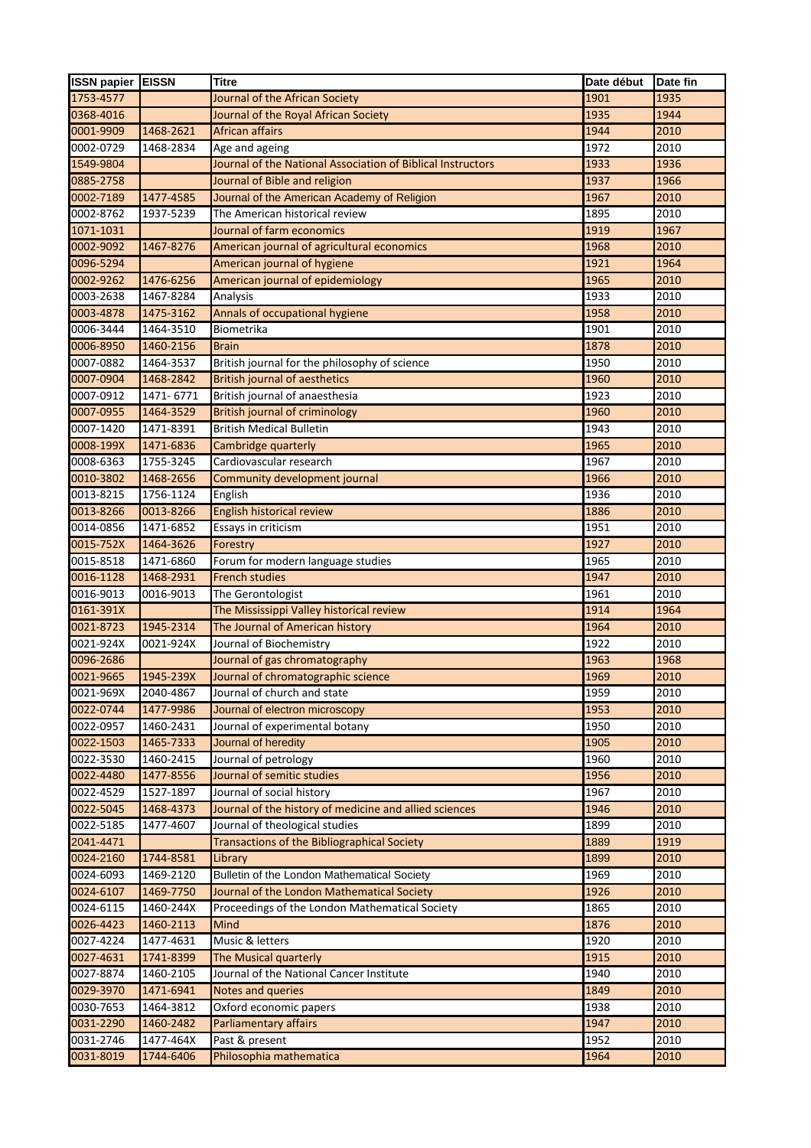| 1901<br>1935<br>Journal of the African Society<br>1935<br>1944<br>Journal of the Royal African Society<br>1468-2621<br>African affairs<br>1944<br>2010<br>1972<br>2010<br>1468-2834<br>Age and ageing<br>1933<br>1936<br>Journal of the National Association of Biblical Instructors<br>Journal of Bible and religion<br>1937<br>1966<br>0885-2758<br>1477-4585<br>Journal of the American Academy of Religion<br>1967<br>2010<br>0002-7189<br>0002-8762<br>1937-5239<br>1895<br>2010<br>The American historical review<br>Journal of farm economics<br>1071-1031<br>1919<br>1967<br>0002-9092<br>1467-8276<br>American journal of agricultural economics<br>1968<br>2010<br>0096-5294<br>American journal of hygiene<br>1921<br>1964<br>1476-6256<br>American journal of epidemiology<br>0002-9262<br>1965<br>2010<br>1933<br>0003-2638<br>1467-8284<br>Analysis<br>2010<br>0003-4878<br>1475-3162<br>Annals of occupational hygiene<br>1958<br>2010<br>Biometrika<br>1464-3510<br>1901<br>2010<br>0006-3444<br>0006-8950<br>1878<br>2010<br>1460-2156<br>Brain<br>1464-3537<br>1950<br>2010<br>0007-0882<br>British journal for the philosophy of science<br>1960<br>0007-0904<br>1468-2842<br><b>British journal of aesthetics</b><br>2010<br>1923<br>0007-0912<br>1471-6771<br>British journal of anaesthesia<br>2010<br>0007-0955<br>1464-3529<br>1960<br>2010<br><b>British journal of criminology</b><br>0007-1420<br>1471-8391<br><b>British Medical Bulletin</b><br>1943<br>2010<br>0008-199X<br>1471-6836<br>1965<br>2010<br>Cambridge quarterly<br>0008-6363<br>1755-3245<br>Cardiovascular research<br>1967<br>2010<br>0010-3802<br>1468-2656<br>1966<br>2010<br>Community development journal<br>0013-8215<br>1936<br>2010<br>1756-1124<br>English<br>0013-8266<br>1886<br>2010<br>0013-8266<br>English historical review<br>0014-0856<br>1471-6852<br>Essays in criticism<br>1951<br>2010<br>0015-752X<br>1927<br>2010<br>1464-3626<br>Forestry<br>0015-8518<br>1471-6860<br>Forum for modern language studies<br>1965<br>2010<br>0016-1128<br>1947<br>1468-2931<br><b>French studies</b><br>2010<br>0016-9013<br>0016-9013<br>The Gerontologist<br>1961<br>2010<br>0161-391X<br>The Mississippi Valley historical review<br>1914<br>1964<br>0021-8723<br>1945-2314<br>The Journal of American history<br>1964<br>2010<br>0021-924X<br>0021-924X<br>1922<br>2010<br>Journal of Biochemistry<br>0096-2686<br>Journal of gas chromatography<br>1963<br>1968<br>0021-9665<br>1945-239X<br>Journal of chromatographic science<br>1969<br>2010<br>0021-969X<br>2040-4867<br>1959<br>2010<br>Journal of church and state<br>0022-0744<br>1477-9986<br>1953<br>Journal of electron microscopy<br>2010<br>0022-0957<br>1460-2431<br>Journal of experimental botany<br>1950<br>2010<br>0022-1503<br>1465-7333<br>1905<br>2010<br>Journal of heredity<br>0022-3530<br>1460-2415<br>1960<br>2010<br>Journal of petrology<br>0022-4480<br>1477-8556<br>Journal of semitic studies<br>1956<br>2010<br>0022-4529<br>1527-1897<br>Journal of social history<br>1967<br>2010<br>1468-4373<br>Journal of the history of medicine and allied sciences<br>1946<br>2010<br>Journal of theological studies<br>1477-4607<br>1899<br>2010<br>Transactions of the Bibliographical Society<br>1889<br>1919<br>1744-8581<br>1899<br>Library<br>2010<br>Bulletin of the London Mathematical Society<br>1969<br>1469-2120<br>2010<br>1469-7750<br>1926<br>Journal of the London Mathematical Society<br>2010<br>1865<br>1460-244X<br>Proceedings of the London Mathematical Society<br>2010<br>1460-2113<br>1876<br>2010<br>Mind<br>Music & letters<br>1920<br>2010<br>1477-4631<br>1741-8399<br>1915<br>2010<br>The Musical quarterly<br>1460-2105<br>1940<br>2010<br>Journal of the National Cancer Institute<br>1471-6941<br>Notes and queries<br>1849<br>2010<br>1938<br>1464-3812<br>Oxford economic papers<br>2010<br>0031-2290<br>1460-2482<br>Parliamentary affairs<br>1947<br>2010<br>1952<br>0031-2746<br>1477-464X<br>Past & present<br>2010<br>1744-6406<br>Philosophia mathematica<br>1964<br>2010 | <b>ISSN papier EISSN</b> | Titre | Date début | Date fin |
|---------------------------------------------------------------------------------------------------------------------------------------------------------------------------------------------------------------------------------------------------------------------------------------------------------------------------------------------------------------------------------------------------------------------------------------------------------------------------------------------------------------------------------------------------------------------------------------------------------------------------------------------------------------------------------------------------------------------------------------------------------------------------------------------------------------------------------------------------------------------------------------------------------------------------------------------------------------------------------------------------------------------------------------------------------------------------------------------------------------------------------------------------------------------------------------------------------------------------------------------------------------------------------------------------------------------------------------------------------------------------------------------------------------------------------------------------------------------------------------------------------------------------------------------------------------------------------------------------------------------------------------------------------------------------------------------------------------------------------------------------------------------------------------------------------------------------------------------------------------------------------------------------------------------------------------------------------------------------------------------------------------------------------------------------------------------------------------------------------------------------------------------------------------------------------------------------------------------------------------------------------------------------------------------------------------------------------------------------------------------------------------------------------------------------------------------------------------------------------------------------------------------------------------------------------------------------------------------------------------------------------------------------------------------------------------------------------------------------------------------------------------------------------------------------------------------------------------------------------------------------------------------------------------------------------------------------------------------------------------------------------------------------------------------------------------------------------------------------------------------------------------------------------------------------------------------------------------------------------------------------------------------------------------------------------------------------------------------------------------------------------------------------------------------------------------------------------------------------------------------------------------------------------------------------------------------------------------------------------------------------------------------------------------------------------------------------------------------------------------------------------------------------------------------------------------------------------------------------------------------------------------------------------------------------------------------------------------------------------------------------------------------------------------------------------------------------------------------------|--------------------------|-------|------------|----------|
|                                                                                                                                                                                                                                                                                                                                                                                                                                                                                                                                                                                                                                                                                                                                                                                                                                                                                                                                                                                                                                                                                                                                                                                                                                                                                                                                                                                                                                                                                                                                                                                                                                                                                                                                                                                                                                                                                                                                                                                                                                                                                                                                                                                                                                                                                                                                                                                                                                                                                                                                                                                                                                                                                                                                                                                                                                                                                                                                                                                                                                                                                                                                                                                                                                                                                                                                                                                                                                                                                                                                                                                                                                                                                                                                                                                                                                                                                                                                                                                                                                                                                                   | 1753-4577                |       |            |          |
|                                                                                                                                                                                                                                                                                                                                                                                                                                                                                                                                                                                                                                                                                                                                                                                                                                                                                                                                                                                                                                                                                                                                                                                                                                                                                                                                                                                                                                                                                                                                                                                                                                                                                                                                                                                                                                                                                                                                                                                                                                                                                                                                                                                                                                                                                                                                                                                                                                                                                                                                                                                                                                                                                                                                                                                                                                                                                                                                                                                                                                                                                                                                                                                                                                                                                                                                                                                                                                                                                                                                                                                                                                                                                                                                                                                                                                                                                                                                                                                                                                                                                                   | 0368-4016                |       |            |          |
|                                                                                                                                                                                                                                                                                                                                                                                                                                                                                                                                                                                                                                                                                                                                                                                                                                                                                                                                                                                                                                                                                                                                                                                                                                                                                                                                                                                                                                                                                                                                                                                                                                                                                                                                                                                                                                                                                                                                                                                                                                                                                                                                                                                                                                                                                                                                                                                                                                                                                                                                                                                                                                                                                                                                                                                                                                                                                                                                                                                                                                                                                                                                                                                                                                                                                                                                                                                                                                                                                                                                                                                                                                                                                                                                                                                                                                                                                                                                                                                                                                                                                                   | 0001-9909                |       |            |          |
|                                                                                                                                                                                                                                                                                                                                                                                                                                                                                                                                                                                                                                                                                                                                                                                                                                                                                                                                                                                                                                                                                                                                                                                                                                                                                                                                                                                                                                                                                                                                                                                                                                                                                                                                                                                                                                                                                                                                                                                                                                                                                                                                                                                                                                                                                                                                                                                                                                                                                                                                                                                                                                                                                                                                                                                                                                                                                                                                                                                                                                                                                                                                                                                                                                                                                                                                                                                                                                                                                                                                                                                                                                                                                                                                                                                                                                                                                                                                                                                                                                                                                                   | 0002-0729                |       |            |          |
|                                                                                                                                                                                                                                                                                                                                                                                                                                                                                                                                                                                                                                                                                                                                                                                                                                                                                                                                                                                                                                                                                                                                                                                                                                                                                                                                                                                                                                                                                                                                                                                                                                                                                                                                                                                                                                                                                                                                                                                                                                                                                                                                                                                                                                                                                                                                                                                                                                                                                                                                                                                                                                                                                                                                                                                                                                                                                                                                                                                                                                                                                                                                                                                                                                                                                                                                                                                                                                                                                                                                                                                                                                                                                                                                                                                                                                                                                                                                                                                                                                                                                                   | 1549-9804                |       |            |          |
|                                                                                                                                                                                                                                                                                                                                                                                                                                                                                                                                                                                                                                                                                                                                                                                                                                                                                                                                                                                                                                                                                                                                                                                                                                                                                                                                                                                                                                                                                                                                                                                                                                                                                                                                                                                                                                                                                                                                                                                                                                                                                                                                                                                                                                                                                                                                                                                                                                                                                                                                                                                                                                                                                                                                                                                                                                                                                                                                                                                                                                                                                                                                                                                                                                                                                                                                                                                                                                                                                                                                                                                                                                                                                                                                                                                                                                                                                                                                                                                                                                                                                                   |                          |       |            |          |
|                                                                                                                                                                                                                                                                                                                                                                                                                                                                                                                                                                                                                                                                                                                                                                                                                                                                                                                                                                                                                                                                                                                                                                                                                                                                                                                                                                                                                                                                                                                                                                                                                                                                                                                                                                                                                                                                                                                                                                                                                                                                                                                                                                                                                                                                                                                                                                                                                                                                                                                                                                                                                                                                                                                                                                                                                                                                                                                                                                                                                                                                                                                                                                                                                                                                                                                                                                                                                                                                                                                                                                                                                                                                                                                                                                                                                                                                                                                                                                                                                                                                                                   |                          |       |            |          |
|                                                                                                                                                                                                                                                                                                                                                                                                                                                                                                                                                                                                                                                                                                                                                                                                                                                                                                                                                                                                                                                                                                                                                                                                                                                                                                                                                                                                                                                                                                                                                                                                                                                                                                                                                                                                                                                                                                                                                                                                                                                                                                                                                                                                                                                                                                                                                                                                                                                                                                                                                                                                                                                                                                                                                                                                                                                                                                                                                                                                                                                                                                                                                                                                                                                                                                                                                                                                                                                                                                                                                                                                                                                                                                                                                                                                                                                                                                                                                                                                                                                                                                   |                          |       |            |          |
|                                                                                                                                                                                                                                                                                                                                                                                                                                                                                                                                                                                                                                                                                                                                                                                                                                                                                                                                                                                                                                                                                                                                                                                                                                                                                                                                                                                                                                                                                                                                                                                                                                                                                                                                                                                                                                                                                                                                                                                                                                                                                                                                                                                                                                                                                                                                                                                                                                                                                                                                                                                                                                                                                                                                                                                                                                                                                                                                                                                                                                                                                                                                                                                                                                                                                                                                                                                                                                                                                                                                                                                                                                                                                                                                                                                                                                                                                                                                                                                                                                                                                                   |                          |       |            |          |
|                                                                                                                                                                                                                                                                                                                                                                                                                                                                                                                                                                                                                                                                                                                                                                                                                                                                                                                                                                                                                                                                                                                                                                                                                                                                                                                                                                                                                                                                                                                                                                                                                                                                                                                                                                                                                                                                                                                                                                                                                                                                                                                                                                                                                                                                                                                                                                                                                                                                                                                                                                                                                                                                                                                                                                                                                                                                                                                                                                                                                                                                                                                                                                                                                                                                                                                                                                                                                                                                                                                                                                                                                                                                                                                                                                                                                                                                                                                                                                                                                                                                                                   |                          |       |            |          |
|                                                                                                                                                                                                                                                                                                                                                                                                                                                                                                                                                                                                                                                                                                                                                                                                                                                                                                                                                                                                                                                                                                                                                                                                                                                                                                                                                                                                                                                                                                                                                                                                                                                                                                                                                                                                                                                                                                                                                                                                                                                                                                                                                                                                                                                                                                                                                                                                                                                                                                                                                                                                                                                                                                                                                                                                                                                                                                                                                                                                                                                                                                                                                                                                                                                                                                                                                                                                                                                                                                                                                                                                                                                                                                                                                                                                                                                                                                                                                                                                                                                                                                   |                          |       |            |          |
|                                                                                                                                                                                                                                                                                                                                                                                                                                                                                                                                                                                                                                                                                                                                                                                                                                                                                                                                                                                                                                                                                                                                                                                                                                                                                                                                                                                                                                                                                                                                                                                                                                                                                                                                                                                                                                                                                                                                                                                                                                                                                                                                                                                                                                                                                                                                                                                                                                                                                                                                                                                                                                                                                                                                                                                                                                                                                                                                                                                                                                                                                                                                                                                                                                                                                                                                                                                                                                                                                                                                                                                                                                                                                                                                                                                                                                                                                                                                                                                                                                                                                                   |                          |       |            |          |
|                                                                                                                                                                                                                                                                                                                                                                                                                                                                                                                                                                                                                                                                                                                                                                                                                                                                                                                                                                                                                                                                                                                                                                                                                                                                                                                                                                                                                                                                                                                                                                                                                                                                                                                                                                                                                                                                                                                                                                                                                                                                                                                                                                                                                                                                                                                                                                                                                                                                                                                                                                                                                                                                                                                                                                                                                                                                                                                                                                                                                                                                                                                                                                                                                                                                                                                                                                                                                                                                                                                                                                                                                                                                                                                                                                                                                                                                                                                                                                                                                                                                                                   |                          |       |            |          |
|                                                                                                                                                                                                                                                                                                                                                                                                                                                                                                                                                                                                                                                                                                                                                                                                                                                                                                                                                                                                                                                                                                                                                                                                                                                                                                                                                                                                                                                                                                                                                                                                                                                                                                                                                                                                                                                                                                                                                                                                                                                                                                                                                                                                                                                                                                                                                                                                                                                                                                                                                                                                                                                                                                                                                                                                                                                                                                                                                                                                                                                                                                                                                                                                                                                                                                                                                                                                                                                                                                                                                                                                                                                                                                                                                                                                                                                                                                                                                                                                                                                                                                   |                          |       |            |          |
|                                                                                                                                                                                                                                                                                                                                                                                                                                                                                                                                                                                                                                                                                                                                                                                                                                                                                                                                                                                                                                                                                                                                                                                                                                                                                                                                                                                                                                                                                                                                                                                                                                                                                                                                                                                                                                                                                                                                                                                                                                                                                                                                                                                                                                                                                                                                                                                                                                                                                                                                                                                                                                                                                                                                                                                                                                                                                                                                                                                                                                                                                                                                                                                                                                                                                                                                                                                                                                                                                                                                                                                                                                                                                                                                                                                                                                                                                                                                                                                                                                                                                                   |                          |       |            |          |
|                                                                                                                                                                                                                                                                                                                                                                                                                                                                                                                                                                                                                                                                                                                                                                                                                                                                                                                                                                                                                                                                                                                                                                                                                                                                                                                                                                                                                                                                                                                                                                                                                                                                                                                                                                                                                                                                                                                                                                                                                                                                                                                                                                                                                                                                                                                                                                                                                                                                                                                                                                                                                                                                                                                                                                                                                                                                                                                                                                                                                                                                                                                                                                                                                                                                                                                                                                                                                                                                                                                                                                                                                                                                                                                                                                                                                                                                                                                                                                                                                                                                                                   |                          |       |            |          |
|                                                                                                                                                                                                                                                                                                                                                                                                                                                                                                                                                                                                                                                                                                                                                                                                                                                                                                                                                                                                                                                                                                                                                                                                                                                                                                                                                                                                                                                                                                                                                                                                                                                                                                                                                                                                                                                                                                                                                                                                                                                                                                                                                                                                                                                                                                                                                                                                                                                                                                                                                                                                                                                                                                                                                                                                                                                                                                                                                                                                                                                                                                                                                                                                                                                                                                                                                                                                                                                                                                                                                                                                                                                                                                                                                                                                                                                                                                                                                                                                                                                                                                   |                          |       |            |          |
|                                                                                                                                                                                                                                                                                                                                                                                                                                                                                                                                                                                                                                                                                                                                                                                                                                                                                                                                                                                                                                                                                                                                                                                                                                                                                                                                                                                                                                                                                                                                                                                                                                                                                                                                                                                                                                                                                                                                                                                                                                                                                                                                                                                                                                                                                                                                                                                                                                                                                                                                                                                                                                                                                                                                                                                                                                                                                                                                                                                                                                                                                                                                                                                                                                                                                                                                                                                                                                                                                                                                                                                                                                                                                                                                                                                                                                                                                                                                                                                                                                                                                                   |                          |       |            |          |
|                                                                                                                                                                                                                                                                                                                                                                                                                                                                                                                                                                                                                                                                                                                                                                                                                                                                                                                                                                                                                                                                                                                                                                                                                                                                                                                                                                                                                                                                                                                                                                                                                                                                                                                                                                                                                                                                                                                                                                                                                                                                                                                                                                                                                                                                                                                                                                                                                                                                                                                                                                                                                                                                                                                                                                                                                                                                                                                                                                                                                                                                                                                                                                                                                                                                                                                                                                                                                                                                                                                                                                                                                                                                                                                                                                                                                                                                                                                                                                                                                                                                                                   |                          |       |            |          |
|                                                                                                                                                                                                                                                                                                                                                                                                                                                                                                                                                                                                                                                                                                                                                                                                                                                                                                                                                                                                                                                                                                                                                                                                                                                                                                                                                                                                                                                                                                                                                                                                                                                                                                                                                                                                                                                                                                                                                                                                                                                                                                                                                                                                                                                                                                                                                                                                                                                                                                                                                                                                                                                                                                                                                                                                                                                                                                                                                                                                                                                                                                                                                                                                                                                                                                                                                                                                                                                                                                                                                                                                                                                                                                                                                                                                                                                                                                                                                                                                                                                                                                   |                          |       |            |          |
|                                                                                                                                                                                                                                                                                                                                                                                                                                                                                                                                                                                                                                                                                                                                                                                                                                                                                                                                                                                                                                                                                                                                                                                                                                                                                                                                                                                                                                                                                                                                                                                                                                                                                                                                                                                                                                                                                                                                                                                                                                                                                                                                                                                                                                                                                                                                                                                                                                                                                                                                                                                                                                                                                                                                                                                                                                                                                                                                                                                                                                                                                                                                                                                                                                                                                                                                                                                                                                                                                                                                                                                                                                                                                                                                                                                                                                                                                                                                                                                                                                                                                                   |                          |       |            |          |
|                                                                                                                                                                                                                                                                                                                                                                                                                                                                                                                                                                                                                                                                                                                                                                                                                                                                                                                                                                                                                                                                                                                                                                                                                                                                                                                                                                                                                                                                                                                                                                                                                                                                                                                                                                                                                                                                                                                                                                                                                                                                                                                                                                                                                                                                                                                                                                                                                                                                                                                                                                                                                                                                                                                                                                                                                                                                                                                                                                                                                                                                                                                                                                                                                                                                                                                                                                                                                                                                                                                                                                                                                                                                                                                                                                                                                                                                                                                                                                                                                                                                                                   |                          |       |            |          |
|                                                                                                                                                                                                                                                                                                                                                                                                                                                                                                                                                                                                                                                                                                                                                                                                                                                                                                                                                                                                                                                                                                                                                                                                                                                                                                                                                                                                                                                                                                                                                                                                                                                                                                                                                                                                                                                                                                                                                                                                                                                                                                                                                                                                                                                                                                                                                                                                                                                                                                                                                                                                                                                                                                                                                                                                                                                                                                                                                                                                                                                                                                                                                                                                                                                                                                                                                                                                                                                                                                                                                                                                                                                                                                                                                                                                                                                                                                                                                                                                                                                                                                   |                          |       |            |          |
|                                                                                                                                                                                                                                                                                                                                                                                                                                                                                                                                                                                                                                                                                                                                                                                                                                                                                                                                                                                                                                                                                                                                                                                                                                                                                                                                                                                                                                                                                                                                                                                                                                                                                                                                                                                                                                                                                                                                                                                                                                                                                                                                                                                                                                                                                                                                                                                                                                                                                                                                                                                                                                                                                                                                                                                                                                                                                                                                                                                                                                                                                                                                                                                                                                                                                                                                                                                                                                                                                                                                                                                                                                                                                                                                                                                                                                                                                                                                                                                                                                                                                                   |                          |       |            |          |
|                                                                                                                                                                                                                                                                                                                                                                                                                                                                                                                                                                                                                                                                                                                                                                                                                                                                                                                                                                                                                                                                                                                                                                                                                                                                                                                                                                                                                                                                                                                                                                                                                                                                                                                                                                                                                                                                                                                                                                                                                                                                                                                                                                                                                                                                                                                                                                                                                                                                                                                                                                                                                                                                                                                                                                                                                                                                                                                                                                                                                                                                                                                                                                                                                                                                                                                                                                                                                                                                                                                                                                                                                                                                                                                                                                                                                                                                                                                                                                                                                                                                                                   |                          |       |            |          |
|                                                                                                                                                                                                                                                                                                                                                                                                                                                                                                                                                                                                                                                                                                                                                                                                                                                                                                                                                                                                                                                                                                                                                                                                                                                                                                                                                                                                                                                                                                                                                                                                                                                                                                                                                                                                                                                                                                                                                                                                                                                                                                                                                                                                                                                                                                                                                                                                                                                                                                                                                                                                                                                                                                                                                                                                                                                                                                                                                                                                                                                                                                                                                                                                                                                                                                                                                                                                                                                                                                                                                                                                                                                                                                                                                                                                                                                                                                                                                                                                                                                                                                   |                          |       |            |          |
|                                                                                                                                                                                                                                                                                                                                                                                                                                                                                                                                                                                                                                                                                                                                                                                                                                                                                                                                                                                                                                                                                                                                                                                                                                                                                                                                                                                                                                                                                                                                                                                                                                                                                                                                                                                                                                                                                                                                                                                                                                                                                                                                                                                                                                                                                                                                                                                                                                                                                                                                                                                                                                                                                                                                                                                                                                                                                                                                                                                                                                                                                                                                                                                                                                                                                                                                                                                                                                                                                                                                                                                                                                                                                                                                                                                                                                                                                                                                                                                                                                                                                                   |                          |       |            |          |
|                                                                                                                                                                                                                                                                                                                                                                                                                                                                                                                                                                                                                                                                                                                                                                                                                                                                                                                                                                                                                                                                                                                                                                                                                                                                                                                                                                                                                                                                                                                                                                                                                                                                                                                                                                                                                                                                                                                                                                                                                                                                                                                                                                                                                                                                                                                                                                                                                                                                                                                                                                                                                                                                                                                                                                                                                                                                                                                                                                                                                                                                                                                                                                                                                                                                                                                                                                                                                                                                                                                                                                                                                                                                                                                                                                                                                                                                                                                                                                                                                                                                                                   |                          |       |            |          |
|                                                                                                                                                                                                                                                                                                                                                                                                                                                                                                                                                                                                                                                                                                                                                                                                                                                                                                                                                                                                                                                                                                                                                                                                                                                                                                                                                                                                                                                                                                                                                                                                                                                                                                                                                                                                                                                                                                                                                                                                                                                                                                                                                                                                                                                                                                                                                                                                                                                                                                                                                                                                                                                                                                                                                                                                                                                                                                                                                                                                                                                                                                                                                                                                                                                                                                                                                                                                                                                                                                                                                                                                                                                                                                                                                                                                                                                                                                                                                                                                                                                                                                   |                          |       |            |          |
|                                                                                                                                                                                                                                                                                                                                                                                                                                                                                                                                                                                                                                                                                                                                                                                                                                                                                                                                                                                                                                                                                                                                                                                                                                                                                                                                                                                                                                                                                                                                                                                                                                                                                                                                                                                                                                                                                                                                                                                                                                                                                                                                                                                                                                                                                                                                                                                                                                                                                                                                                                                                                                                                                                                                                                                                                                                                                                                                                                                                                                                                                                                                                                                                                                                                                                                                                                                                                                                                                                                                                                                                                                                                                                                                                                                                                                                                                                                                                                                                                                                                                                   |                          |       |            |          |
|                                                                                                                                                                                                                                                                                                                                                                                                                                                                                                                                                                                                                                                                                                                                                                                                                                                                                                                                                                                                                                                                                                                                                                                                                                                                                                                                                                                                                                                                                                                                                                                                                                                                                                                                                                                                                                                                                                                                                                                                                                                                                                                                                                                                                                                                                                                                                                                                                                                                                                                                                                                                                                                                                                                                                                                                                                                                                                                                                                                                                                                                                                                                                                                                                                                                                                                                                                                                                                                                                                                                                                                                                                                                                                                                                                                                                                                                                                                                                                                                                                                                                                   |                          |       |            |          |
|                                                                                                                                                                                                                                                                                                                                                                                                                                                                                                                                                                                                                                                                                                                                                                                                                                                                                                                                                                                                                                                                                                                                                                                                                                                                                                                                                                                                                                                                                                                                                                                                                                                                                                                                                                                                                                                                                                                                                                                                                                                                                                                                                                                                                                                                                                                                                                                                                                                                                                                                                                                                                                                                                                                                                                                                                                                                                                                                                                                                                                                                                                                                                                                                                                                                                                                                                                                                                                                                                                                                                                                                                                                                                                                                                                                                                                                                                                                                                                                                                                                                                                   |                          |       |            |          |
|                                                                                                                                                                                                                                                                                                                                                                                                                                                                                                                                                                                                                                                                                                                                                                                                                                                                                                                                                                                                                                                                                                                                                                                                                                                                                                                                                                                                                                                                                                                                                                                                                                                                                                                                                                                                                                                                                                                                                                                                                                                                                                                                                                                                                                                                                                                                                                                                                                                                                                                                                                                                                                                                                                                                                                                                                                                                                                                                                                                                                                                                                                                                                                                                                                                                                                                                                                                                                                                                                                                                                                                                                                                                                                                                                                                                                                                                                                                                                                                                                                                                                                   |                          |       |            |          |
|                                                                                                                                                                                                                                                                                                                                                                                                                                                                                                                                                                                                                                                                                                                                                                                                                                                                                                                                                                                                                                                                                                                                                                                                                                                                                                                                                                                                                                                                                                                                                                                                                                                                                                                                                                                                                                                                                                                                                                                                                                                                                                                                                                                                                                                                                                                                                                                                                                                                                                                                                                                                                                                                                                                                                                                                                                                                                                                                                                                                                                                                                                                                                                                                                                                                                                                                                                                                                                                                                                                                                                                                                                                                                                                                                                                                                                                                                                                                                                                                                                                                                                   |                          |       |            |          |
|                                                                                                                                                                                                                                                                                                                                                                                                                                                                                                                                                                                                                                                                                                                                                                                                                                                                                                                                                                                                                                                                                                                                                                                                                                                                                                                                                                                                                                                                                                                                                                                                                                                                                                                                                                                                                                                                                                                                                                                                                                                                                                                                                                                                                                                                                                                                                                                                                                                                                                                                                                                                                                                                                                                                                                                                                                                                                                                                                                                                                                                                                                                                                                                                                                                                                                                                                                                                                                                                                                                                                                                                                                                                                                                                                                                                                                                                                                                                                                                                                                                                                                   |                          |       |            |          |
|                                                                                                                                                                                                                                                                                                                                                                                                                                                                                                                                                                                                                                                                                                                                                                                                                                                                                                                                                                                                                                                                                                                                                                                                                                                                                                                                                                                                                                                                                                                                                                                                                                                                                                                                                                                                                                                                                                                                                                                                                                                                                                                                                                                                                                                                                                                                                                                                                                                                                                                                                                                                                                                                                                                                                                                                                                                                                                                                                                                                                                                                                                                                                                                                                                                                                                                                                                                                                                                                                                                                                                                                                                                                                                                                                                                                                                                                                                                                                                                                                                                                                                   |                          |       |            |          |
|                                                                                                                                                                                                                                                                                                                                                                                                                                                                                                                                                                                                                                                                                                                                                                                                                                                                                                                                                                                                                                                                                                                                                                                                                                                                                                                                                                                                                                                                                                                                                                                                                                                                                                                                                                                                                                                                                                                                                                                                                                                                                                                                                                                                                                                                                                                                                                                                                                                                                                                                                                                                                                                                                                                                                                                                                                                                                                                                                                                                                                                                                                                                                                                                                                                                                                                                                                                                                                                                                                                                                                                                                                                                                                                                                                                                                                                                                                                                                                                                                                                                                                   |                          |       |            |          |
|                                                                                                                                                                                                                                                                                                                                                                                                                                                                                                                                                                                                                                                                                                                                                                                                                                                                                                                                                                                                                                                                                                                                                                                                                                                                                                                                                                                                                                                                                                                                                                                                                                                                                                                                                                                                                                                                                                                                                                                                                                                                                                                                                                                                                                                                                                                                                                                                                                                                                                                                                                                                                                                                                                                                                                                                                                                                                                                                                                                                                                                                                                                                                                                                                                                                                                                                                                                                                                                                                                                                                                                                                                                                                                                                                                                                                                                                                                                                                                                                                                                                                                   |                          |       |            |          |
|                                                                                                                                                                                                                                                                                                                                                                                                                                                                                                                                                                                                                                                                                                                                                                                                                                                                                                                                                                                                                                                                                                                                                                                                                                                                                                                                                                                                                                                                                                                                                                                                                                                                                                                                                                                                                                                                                                                                                                                                                                                                                                                                                                                                                                                                                                                                                                                                                                                                                                                                                                                                                                                                                                                                                                                                                                                                                                                                                                                                                                                                                                                                                                                                                                                                                                                                                                                                                                                                                                                                                                                                                                                                                                                                                                                                                                                                                                                                                                                                                                                                                                   |                          |       |            |          |
|                                                                                                                                                                                                                                                                                                                                                                                                                                                                                                                                                                                                                                                                                                                                                                                                                                                                                                                                                                                                                                                                                                                                                                                                                                                                                                                                                                                                                                                                                                                                                                                                                                                                                                                                                                                                                                                                                                                                                                                                                                                                                                                                                                                                                                                                                                                                                                                                                                                                                                                                                                                                                                                                                                                                                                                                                                                                                                                                                                                                                                                                                                                                                                                                                                                                                                                                                                                                                                                                                                                                                                                                                                                                                                                                                                                                                                                                                                                                                                                                                                                                                                   |                          |       |            |          |
|                                                                                                                                                                                                                                                                                                                                                                                                                                                                                                                                                                                                                                                                                                                                                                                                                                                                                                                                                                                                                                                                                                                                                                                                                                                                                                                                                                                                                                                                                                                                                                                                                                                                                                                                                                                                                                                                                                                                                                                                                                                                                                                                                                                                                                                                                                                                                                                                                                                                                                                                                                                                                                                                                                                                                                                                                                                                                                                                                                                                                                                                                                                                                                                                                                                                                                                                                                                                                                                                                                                                                                                                                                                                                                                                                                                                                                                                                                                                                                                                                                                                                                   |                          |       |            |          |
|                                                                                                                                                                                                                                                                                                                                                                                                                                                                                                                                                                                                                                                                                                                                                                                                                                                                                                                                                                                                                                                                                                                                                                                                                                                                                                                                                                                                                                                                                                                                                                                                                                                                                                                                                                                                                                                                                                                                                                                                                                                                                                                                                                                                                                                                                                                                                                                                                                                                                                                                                                                                                                                                                                                                                                                                                                                                                                                                                                                                                                                                                                                                                                                                                                                                                                                                                                                                                                                                                                                                                                                                                                                                                                                                                                                                                                                                                                                                                                                                                                                                                                   |                          |       |            |          |
|                                                                                                                                                                                                                                                                                                                                                                                                                                                                                                                                                                                                                                                                                                                                                                                                                                                                                                                                                                                                                                                                                                                                                                                                                                                                                                                                                                                                                                                                                                                                                                                                                                                                                                                                                                                                                                                                                                                                                                                                                                                                                                                                                                                                                                                                                                                                                                                                                                                                                                                                                                                                                                                                                                                                                                                                                                                                                                                                                                                                                                                                                                                                                                                                                                                                                                                                                                                                                                                                                                                                                                                                                                                                                                                                                                                                                                                                                                                                                                                                                                                                                                   |                          |       |            |          |
|                                                                                                                                                                                                                                                                                                                                                                                                                                                                                                                                                                                                                                                                                                                                                                                                                                                                                                                                                                                                                                                                                                                                                                                                                                                                                                                                                                                                                                                                                                                                                                                                                                                                                                                                                                                                                                                                                                                                                                                                                                                                                                                                                                                                                                                                                                                                                                                                                                                                                                                                                                                                                                                                                                                                                                                                                                                                                                                                                                                                                                                                                                                                                                                                                                                                                                                                                                                                                                                                                                                                                                                                                                                                                                                                                                                                                                                                                                                                                                                                                                                                                                   |                          |       |            |          |
|                                                                                                                                                                                                                                                                                                                                                                                                                                                                                                                                                                                                                                                                                                                                                                                                                                                                                                                                                                                                                                                                                                                                                                                                                                                                                                                                                                                                                                                                                                                                                                                                                                                                                                                                                                                                                                                                                                                                                                                                                                                                                                                                                                                                                                                                                                                                                                                                                                                                                                                                                                                                                                                                                                                                                                                                                                                                                                                                                                                                                                                                                                                                                                                                                                                                                                                                                                                                                                                                                                                                                                                                                                                                                                                                                                                                                                                                                                                                                                                                                                                                                                   | 0022-5045                |       |            |          |
|                                                                                                                                                                                                                                                                                                                                                                                                                                                                                                                                                                                                                                                                                                                                                                                                                                                                                                                                                                                                                                                                                                                                                                                                                                                                                                                                                                                                                                                                                                                                                                                                                                                                                                                                                                                                                                                                                                                                                                                                                                                                                                                                                                                                                                                                                                                                                                                                                                                                                                                                                                                                                                                                                                                                                                                                                                                                                                                                                                                                                                                                                                                                                                                                                                                                                                                                                                                                                                                                                                                                                                                                                                                                                                                                                                                                                                                                                                                                                                                                                                                                                                   | 0022-5185                |       |            |          |
|                                                                                                                                                                                                                                                                                                                                                                                                                                                                                                                                                                                                                                                                                                                                                                                                                                                                                                                                                                                                                                                                                                                                                                                                                                                                                                                                                                                                                                                                                                                                                                                                                                                                                                                                                                                                                                                                                                                                                                                                                                                                                                                                                                                                                                                                                                                                                                                                                                                                                                                                                                                                                                                                                                                                                                                                                                                                                                                                                                                                                                                                                                                                                                                                                                                                                                                                                                                                                                                                                                                                                                                                                                                                                                                                                                                                                                                                                                                                                                                                                                                                                                   | 2041-4471                |       |            |          |
|                                                                                                                                                                                                                                                                                                                                                                                                                                                                                                                                                                                                                                                                                                                                                                                                                                                                                                                                                                                                                                                                                                                                                                                                                                                                                                                                                                                                                                                                                                                                                                                                                                                                                                                                                                                                                                                                                                                                                                                                                                                                                                                                                                                                                                                                                                                                                                                                                                                                                                                                                                                                                                                                                                                                                                                                                                                                                                                                                                                                                                                                                                                                                                                                                                                                                                                                                                                                                                                                                                                                                                                                                                                                                                                                                                                                                                                                                                                                                                                                                                                                                                   | 0024-2160                |       |            |          |
|                                                                                                                                                                                                                                                                                                                                                                                                                                                                                                                                                                                                                                                                                                                                                                                                                                                                                                                                                                                                                                                                                                                                                                                                                                                                                                                                                                                                                                                                                                                                                                                                                                                                                                                                                                                                                                                                                                                                                                                                                                                                                                                                                                                                                                                                                                                                                                                                                                                                                                                                                                                                                                                                                                                                                                                                                                                                                                                                                                                                                                                                                                                                                                                                                                                                                                                                                                                                                                                                                                                                                                                                                                                                                                                                                                                                                                                                                                                                                                                                                                                                                                   | 0024-6093                |       |            |          |
|                                                                                                                                                                                                                                                                                                                                                                                                                                                                                                                                                                                                                                                                                                                                                                                                                                                                                                                                                                                                                                                                                                                                                                                                                                                                                                                                                                                                                                                                                                                                                                                                                                                                                                                                                                                                                                                                                                                                                                                                                                                                                                                                                                                                                                                                                                                                                                                                                                                                                                                                                                                                                                                                                                                                                                                                                                                                                                                                                                                                                                                                                                                                                                                                                                                                                                                                                                                                                                                                                                                                                                                                                                                                                                                                                                                                                                                                                                                                                                                                                                                                                                   | 0024-6107                |       |            |          |
|                                                                                                                                                                                                                                                                                                                                                                                                                                                                                                                                                                                                                                                                                                                                                                                                                                                                                                                                                                                                                                                                                                                                                                                                                                                                                                                                                                                                                                                                                                                                                                                                                                                                                                                                                                                                                                                                                                                                                                                                                                                                                                                                                                                                                                                                                                                                                                                                                                                                                                                                                                                                                                                                                                                                                                                                                                                                                                                                                                                                                                                                                                                                                                                                                                                                                                                                                                                                                                                                                                                                                                                                                                                                                                                                                                                                                                                                                                                                                                                                                                                                                                   | 0024-6115                |       |            |          |
|                                                                                                                                                                                                                                                                                                                                                                                                                                                                                                                                                                                                                                                                                                                                                                                                                                                                                                                                                                                                                                                                                                                                                                                                                                                                                                                                                                                                                                                                                                                                                                                                                                                                                                                                                                                                                                                                                                                                                                                                                                                                                                                                                                                                                                                                                                                                                                                                                                                                                                                                                                                                                                                                                                                                                                                                                                                                                                                                                                                                                                                                                                                                                                                                                                                                                                                                                                                                                                                                                                                                                                                                                                                                                                                                                                                                                                                                                                                                                                                                                                                                                                   | 0026-4423                |       |            |          |
|                                                                                                                                                                                                                                                                                                                                                                                                                                                                                                                                                                                                                                                                                                                                                                                                                                                                                                                                                                                                                                                                                                                                                                                                                                                                                                                                                                                                                                                                                                                                                                                                                                                                                                                                                                                                                                                                                                                                                                                                                                                                                                                                                                                                                                                                                                                                                                                                                                                                                                                                                                                                                                                                                                                                                                                                                                                                                                                                                                                                                                                                                                                                                                                                                                                                                                                                                                                                                                                                                                                                                                                                                                                                                                                                                                                                                                                                                                                                                                                                                                                                                                   | 0027-4224                |       |            |          |
|                                                                                                                                                                                                                                                                                                                                                                                                                                                                                                                                                                                                                                                                                                                                                                                                                                                                                                                                                                                                                                                                                                                                                                                                                                                                                                                                                                                                                                                                                                                                                                                                                                                                                                                                                                                                                                                                                                                                                                                                                                                                                                                                                                                                                                                                                                                                                                                                                                                                                                                                                                                                                                                                                                                                                                                                                                                                                                                                                                                                                                                                                                                                                                                                                                                                                                                                                                                                                                                                                                                                                                                                                                                                                                                                                                                                                                                                                                                                                                                                                                                                                                   | 0027-4631                |       |            |          |
|                                                                                                                                                                                                                                                                                                                                                                                                                                                                                                                                                                                                                                                                                                                                                                                                                                                                                                                                                                                                                                                                                                                                                                                                                                                                                                                                                                                                                                                                                                                                                                                                                                                                                                                                                                                                                                                                                                                                                                                                                                                                                                                                                                                                                                                                                                                                                                                                                                                                                                                                                                                                                                                                                                                                                                                                                                                                                                                                                                                                                                                                                                                                                                                                                                                                                                                                                                                                                                                                                                                                                                                                                                                                                                                                                                                                                                                                                                                                                                                                                                                                                                   | 0027-8874                |       |            |          |
|                                                                                                                                                                                                                                                                                                                                                                                                                                                                                                                                                                                                                                                                                                                                                                                                                                                                                                                                                                                                                                                                                                                                                                                                                                                                                                                                                                                                                                                                                                                                                                                                                                                                                                                                                                                                                                                                                                                                                                                                                                                                                                                                                                                                                                                                                                                                                                                                                                                                                                                                                                                                                                                                                                                                                                                                                                                                                                                                                                                                                                                                                                                                                                                                                                                                                                                                                                                                                                                                                                                                                                                                                                                                                                                                                                                                                                                                                                                                                                                                                                                                                                   | 0029-3970                |       |            |          |
|                                                                                                                                                                                                                                                                                                                                                                                                                                                                                                                                                                                                                                                                                                                                                                                                                                                                                                                                                                                                                                                                                                                                                                                                                                                                                                                                                                                                                                                                                                                                                                                                                                                                                                                                                                                                                                                                                                                                                                                                                                                                                                                                                                                                                                                                                                                                                                                                                                                                                                                                                                                                                                                                                                                                                                                                                                                                                                                                                                                                                                                                                                                                                                                                                                                                                                                                                                                                                                                                                                                                                                                                                                                                                                                                                                                                                                                                                                                                                                                                                                                                                                   | 0030-7653                |       |            |          |
|                                                                                                                                                                                                                                                                                                                                                                                                                                                                                                                                                                                                                                                                                                                                                                                                                                                                                                                                                                                                                                                                                                                                                                                                                                                                                                                                                                                                                                                                                                                                                                                                                                                                                                                                                                                                                                                                                                                                                                                                                                                                                                                                                                                                                                                                                                                                                                                                                                                                                                                                                                                                                                                                                                                                                                                                                                                                                                                                                                                                                                                                                                                                                                                                                                                                                                                                                                                                                                                                                                                                                                                                                                                                                                                                                                                                                                                                                                                                                                                                                                                                                                   |                          |       |            |          |
|                                                                                                                                                                                                                                                                                                                                                                                                                                                                                                                                                                                                                                                                                                                                                                                                                                                                                                                                                                                                                                                                                                                                                                                                                                                                                                                                                                                                                                                                                                                                                                                                                                                                                                                                                                                                                                                                                                                                                                                                                                                                                                                                                                                                                                                                                                                                                                                                                                                                                                                                                                                                                                                                                                                                                                                                                                                                                                                                                                                                                                                                                                                                                                                                                                                                                                                                                                                                                                                                                                                                                                                                                                                                                                                                                                                                                                                                                                                                                                                                                                                                                                   |                          |       |            |          |
|                                                                                                                                                                                                                                                                                                                                                                                                                                                                                                                                                                                                                                                                                                                                                                                                                                                                                                                                                                                                                                                                                                                                                                                                                                                                                                                                                                                                                                                                                                                                                                                                                                                                                                                                                                                                                                                                                                                                                                                                                                                                                                                                                                                                                                                                                                                                                                                                                                                                                                                                                                                                                                                                                                                                                                                                                                                                                                                                                                                                                                                                                                                                                                                                                                                                                                                                                                                                                                                                                                                                                                                                                                                                                                                                                                                                                                                                                                                                                                                                                                                                                                   | 0031-8019                |       |            |          |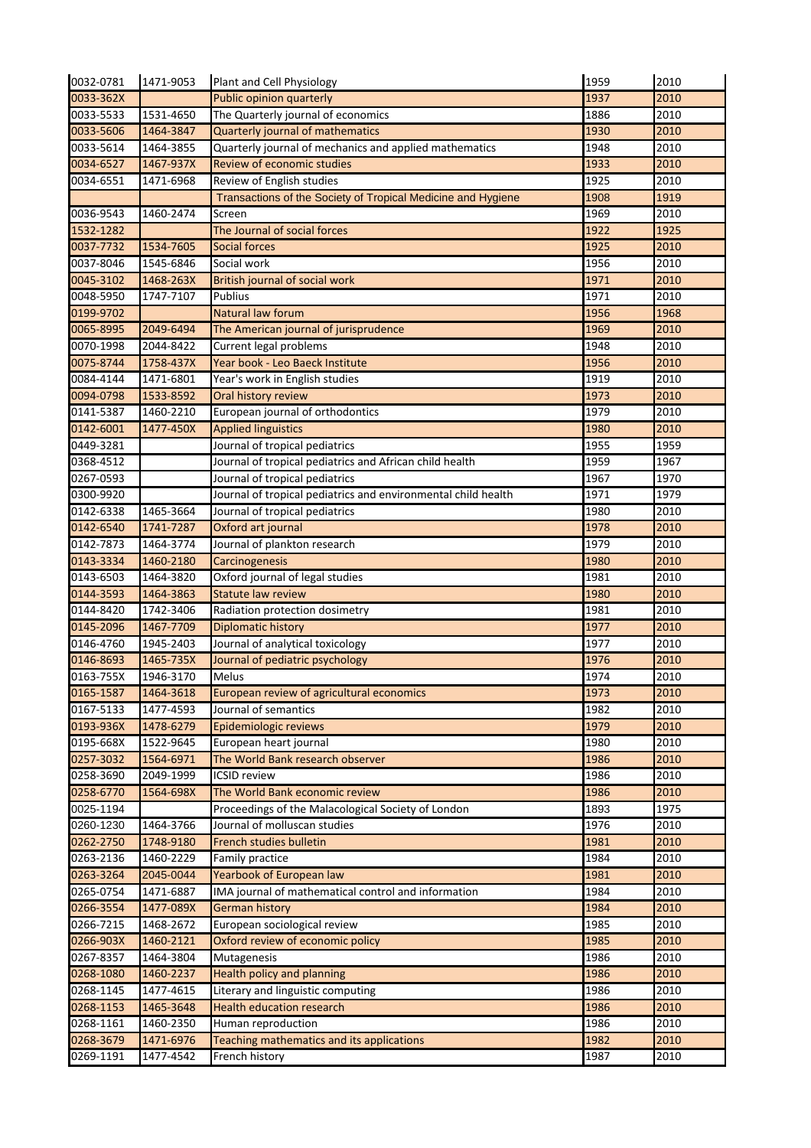| 0032-0781     | 1471-9053 | Plant and Cell Physiology                                     | 1959 | 2010 |
|---------------|-----------|---------------------------------------------------------------|------|------|
| 0033-362X     |           | <b>Public opinion quarterly</b>                               | 1937 | 2010 |
| 0033-5533     | 1531-4650 | The Quarterly journal of economics                            | 1886 | 2010 |
| 0033-5606     | 1464-3847 | Quarterly journal of mathematics                              | 1930 | 2010 |
| 0033-5614     | 1464-3855 | Quarterly journal of mechanics and applied mathematics        | 1948 | 2010 |
| 0034-6527     | 1467-937X | Review of economic studies                                    | 1933 | 2010 |
| 0034-6551     | 1471-6968 | Review of English studies                                     | 1925 | 2010 |
|               |           | Transactions of the Society of Tropical Medicine and Hygiene  | 1908 | 1919 |
| 0036-9543     | 1460-2474 | Screen                                                        | 1969 | 2010 |
| 1532-1282     |           | The Journal of social forces                                  | 1922 | 1925 |
| 0037-7732     | 1534-7605 | <b>Social forces</b>                                          | 1925 | 2010 |
| 0037-8046     | 1545-6846 | Social work                                                   | 1956 | 2010 |
| 0045-3102     | 1468-263X | British journal of social work                                | 1971 | 2010 |
| 0048-5950     | 1747-7107 | Publius                                                       | 1971 | 2010 |
| 0199-9702     |           | Natural law forum                                             | 1956 | 1968 |
| 0065-8995     | 2049-6494 | The American journal of jurisprudence                         | 1969 | 2010 |
| 0070-1998     | 2044-8422 | Current legal problems                                        | 1948 | 2010 |
| 0075-8744     | 1758-437X | Year book - Leo Baeck Institute                               | 1956 | 2010 |
| $0084 - 4144$ |           |                                                               | 1919 | 2010 |
|               | 1471-6801 | Year's work in English studies                                |      |      |
| 0094-0798     | 1533-8592 | Oral history review                                           | 1973 | 2010 |
| 0141-5387     | 1460-2210 | European journal of orthodontics                              | 1979 | 2010 |
| 0142-6001     | 1477-450X | <b>Applied linguistics</b>                                    | 1980 | 2010 |
| 0449-3281     |           | Journal of tropical pediatrics                                | 1955 | 1959 |
| 0368-4512     |           | Journal of tropical pediatrics and African child health       | 1959 | 1967 |
| 0267-0593     |           | Journal of tropical pediatrics                                | 1967 | 1970 |
| 0300-9920     |           | Journal of tropical pediatrics and environmental child health | 1971 | 1979 |
| 0142-6338     | 1465-3664 | Journal of tropical pediatrics                                | 1980 | 2010 |
| 0142-6540     | 1741-7287 | Oxford art journal                                            | 1978 | 2010 |
| 0142-7873     | 1464-3774 | Journal of plankton research                                  | 1979 | 2010 |
| 0143-3334     | 1460-2180 | Carcinogenesis                                                | 1980 | 2010 |
| 0143-6503     | 1464-3820 | Oxford journal of legal studies                               | 1981 | 2010 |
| 0144-3593     | 1464-3863 | <b>Statute law review</b>                                     | 1980 | 2010 |
| 0144-8420     | 1742-3406 | Radiation protection dosimetry                                | 1981 | 2010 |
| 0145-2096     | 1467-7709 | <b>Diplomatic history</b>                                     | 1977 | 2010 |
| 0146-4760     | 1945-2403 | Journal of analytical toxicology                              | 1977 | 2010 |
| 0146-8693     | 1465-735X | Journal of pediatric psychology                               | 1976 | 2010 |
| 0163-755X     | 1946-3170 | Melus                                                         | 1974 | 2010 |
| 0165-1587     | 1464-3618 | European review of agricultural economics                     | 1973 | 2010 |
| 0167-5133     | 1477-4593 | Journal of semantics                                          | 1982 | 2010 |
| 0193-936X     | 1478-6279 | Epidemiologic reviews                                         | 1979 | 2010 |
| 0195-668X     | 1522-9645 | European heart journal                                        | 1980 | 2010 |
| 0257-3032     | 1564-6971 | The World Bank research observer                              | 1986 | 2010 |
| 0258-3690     | 2049-1999 | <b>ICSID</b> review                                           | 1986 | 2010 |
| 0258-6770     | 1564-698X | The World Bank economic review                                | 1986 | 2010 |
| 0025-1194     |           | Proceedings of the Malacological Society of London            | 1893 | 1975 |
| 0260-1230     | 1464-3766 | Journal of molluscan studies                                  | 1976 | 2010 |
| 0262-2750     | 1748-9180 | French studies bulletin                                       | 1981 | 2010 |
| 0263-2136     | 1460-2229 | Family practice                                               | 1984 | 2010 |
| 0263-3264     | 2045-0044 | Yearbook of European law                                      | 1981 | 2010 |
| 0265-0754     | 1471-6887 | IMA journal of mathematical control and information           | 1984 | 2010 |
| 0266-3554     | 1477-089X | <b>German history</b>                                         | 1984 | 2010 |
| 0266-7215     | 1468-2672 | European sociological review                                  | 1985 | 2010 |
| 0266-903X     | 1460-2121 | Oxford review of economic policy                              | 1985 | 2010 |
| 0267-8357     | 1464-3804 | Mutagenesis                                                   | 1986 | 2010 |
| 0268-1080     | 1460-2237 | Health policy and planning                                    | 1986 | 2010 |
| 0268-1145     | 1477-4615 | Literary and linguistic computing                             | 1986 | 2010 |
| 0268-1153     | 1465-3648 | <b>Health education research</b>                              | 1986 | 2010 |
| 0268-1161     | 1460-2350 | Human reproduction                                            | 1986 | 2010 |
| 0268-3679     | 1471-6976 | Teaching mathematics and its applications                     | 1982 | 2010 |
| 0269-1191     | 1477-4542 | French history                                                | 1987 | 2010 |
|               |           |                                                               |      |      |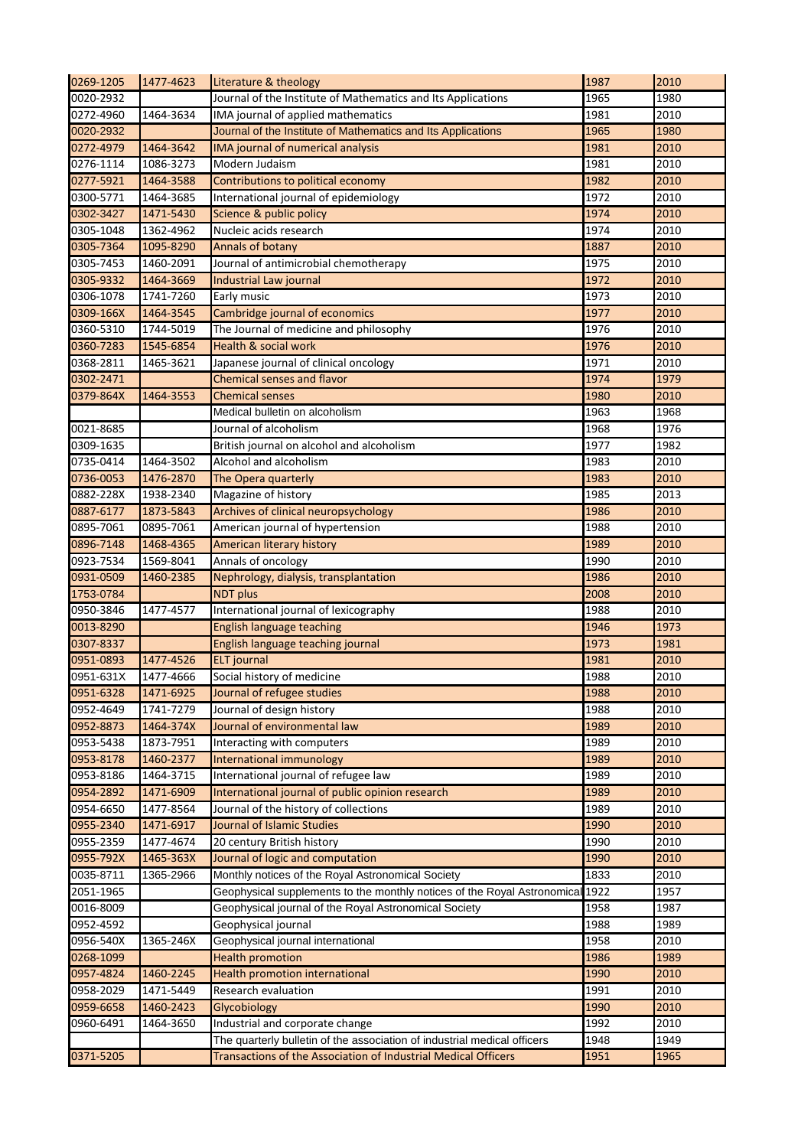| 0269-1205 | 1477-4623 | Literature & theology                                                    | 1987 | 2010 |
|-----------|-----------|--------------------------------------------------------------------------|------|------|
| 0020-2932 |           | Journal of the Institute of Mathematics and Its Applications             | 1965 | 1980 |
| 0272-4960 | 1464-3634 | IMA journal of applied mathematics                                       | 1981 | 2010 |
| 0020-2932 |           | Journal of the Institute of Mathematics and Its Applications             | 1965 | 1980 |
| 0272-4979 | 1464-3642 | IMA journal of numerical analysis                                        | 1981 | 2010 |
| 0276-1114 | 1086-3273 | Modern Judaism                                                           | 1981 | 2010 |
| 0277-5921 | 1464-3588 | Contributions to political economy                                       | 1982 | 2010 |
| 0300-5771 | 1464-3685 | International journal of epidemiology                                    | 1972 | 2010 |
| 0302-3427 | 1471-5430 | Science & public policy                                                  | 1974 | 2010 |
| 0305-1048 | 1362-4962 | Nucleic acids research                                                   | 1974 | 2010 |
| 0305-7364 | 1095-8290 | <b>Annals of botany</b>                                                  | 1887 | 2010 |
| 0305-7453 | 1460-2091 | Journal of antimicrobial chemotherapy                                    | 1975 | 2010 |
| 0305-9332 | 1464-3669 | Industrial Law journal                                                   | 1972 | 2010 |
| 0306-1078 | 1741-7260 | Early music                                                              | 1973 | 2010 |
| 0309-166X | 1464-3545 | Cambridge journal of economics                                           | 1977 | 2010 |
| 0360-5310 | 1744-5019 | The Journal of medicine and philosophy                                   | 1976 | 2010 |
| 0360-7283 | 1545-6854 | <b>Health &amp; social work</b>                                          | 1976 | 2010 |
| 0368-2811 | 1465-3621 |                                                                          | 1971 | 2010 |
|           |           | Japanese journal of clinical oncology                                    |      |      |
| 0302-2471 |           | <b>Chemical senses and flavor</b>                                        | 1974 | 1979 |
| 0379-864X | 1464-3553 | <b>Chemical senses</b>                                                   | 1980 | 2010 |
|           |           | Medical bulletin on alcoholism                                           | 1963 | 1968 |
| 0021-8685 |           | Journal of alcoholism                                                    | 1968 | 1976 |
| 0309-1635 |           | British journal on alcohol and alcoholism                                | 1977 | 1982 |
| 0735-0414 | 1464-3502 | Alcohol and alcoholism                                                   | 1983 | 2010 |
| 0736-0053 | 1476-2870 | The Opera quarterly                                                      | 1983 | 2010 |
| 0882-228X | 1938-2340 | Magazine of history                                                      | 1985 | 2013 |
| 0887-6177 | 1873-5843 | Archives of clinical neuropsychology                                     | 1986 | 2010 |
| 0895-7061 | 0895-7061 | American journal of hypertension                                         | 1988 | 2010 |
| 0896-7148 | 1468-4365 | American literary history                                                | 1989 | 2010 |
| 0923-7534 | 1569-8041 | Annals of oncology                                                       | 1990 | 2010 |
| 0931-0509 | 1460-2385 | Nephrology, dialysis, transplantation                                    | 1986 | 2010 |
| 1753-0784 |           | <b>NDT</b> plus                                                          | 2008 | 2010 |
| 0950-3846 | 1477-4577 | International journal of lexicography                                    | 1988 | 2010 |
| 0013-8290 |           | <b>English language teaching</b>                                         | 1946 | 1973 |
| 0307-8337 |           | English language teaching journal                                        | 1973 | 1981 |
| 0951-0893 | 1477-4526 | <b>ELT</b> journal                                                       | 1981 | 2010 |
| 0951-631X | 1477-4666 | Social history of medicine                                               | 1988 | 2010 |
| 0951-6328 | 1471-6925 | Journal of refugee studies                                               | 1988 | 2010 |
| 0952-4649 | 1741-7279 | Journal of design history                                                | 1988 | 2010 |
| 0952-8873 | 1464-374X | Journal of environmental law                                             | 1989 | 2010 |
| 0953-5438 | 1873-7951 | Interacting with computers                                               | 1989 | 2010 |
| 0953-8178 | 1460-2377 | International immunology                                                 | 1989 | 2010 |
| 0953-8186 | 1464-3715 | International journal of refugee law                                     | 1989 | 2010 |
| 0954-2892 | 1471-6909 | International journal of public opinion research                         | 1989 | 2010 |
| 0954-6650 | 1477-8564 | Journal of the history of collections                                    | 1989 | 2010 |
| 0955-2340 | 1471-6917 | Journal of Islamic Studies                                               | 1990 | 2010 |
| 0955-2359 | 1477-4674 | 20 century British history                                               | 1990 | 2010 |
| 0955-792X | 1465-363X | Journal of logic and computation                                         | 1990 | 2010 |
| 0035-8711 | 1365-2966 | Monthly notices of the Royal Astronomical Society                        | 1833 | 2010 |
| 2051-1965 |           | Geophysical supplements to the monthly notices of the Royal Astronomical | 1922 | 1957 |
| 0016-8009 |           | Geophysical journal of the Royal Astronomical Society                    | 1958 | 1987 |
|           |           |                                                                          |      |      |
| 0952-4592 |           | Geophysical journal                                                      | 1988 | 1989 |
| 0956-540X | 1365-246X | Geophysical journal international                                        | 1958 | 2010 |
| 0268-1099 |           | <b>Health promotion</b>                                                  | 1986 | 1989 |
| 0957-4824 | 1460-2245 | Health promotion international                                           | 1990 | 2010 |
| 0958-2029 | 1471-5449 | Research evaluation                                                      | 1991 | 2010 |
| 0959-6658 | 1460-2423 | Glycobiology                                                             | 1990 | 2010 |
| 0960-6491 | 1464-3650 | Industrial and corporate change                                          | 1992 | 2010 |
|           |           | The quarterly bulletin of the association of industrial medical officers | 1948 | 1949 |
| 0371-5205 |           | Transactions of the Association of Industrial Medical Officers           | 1951 | 1965 |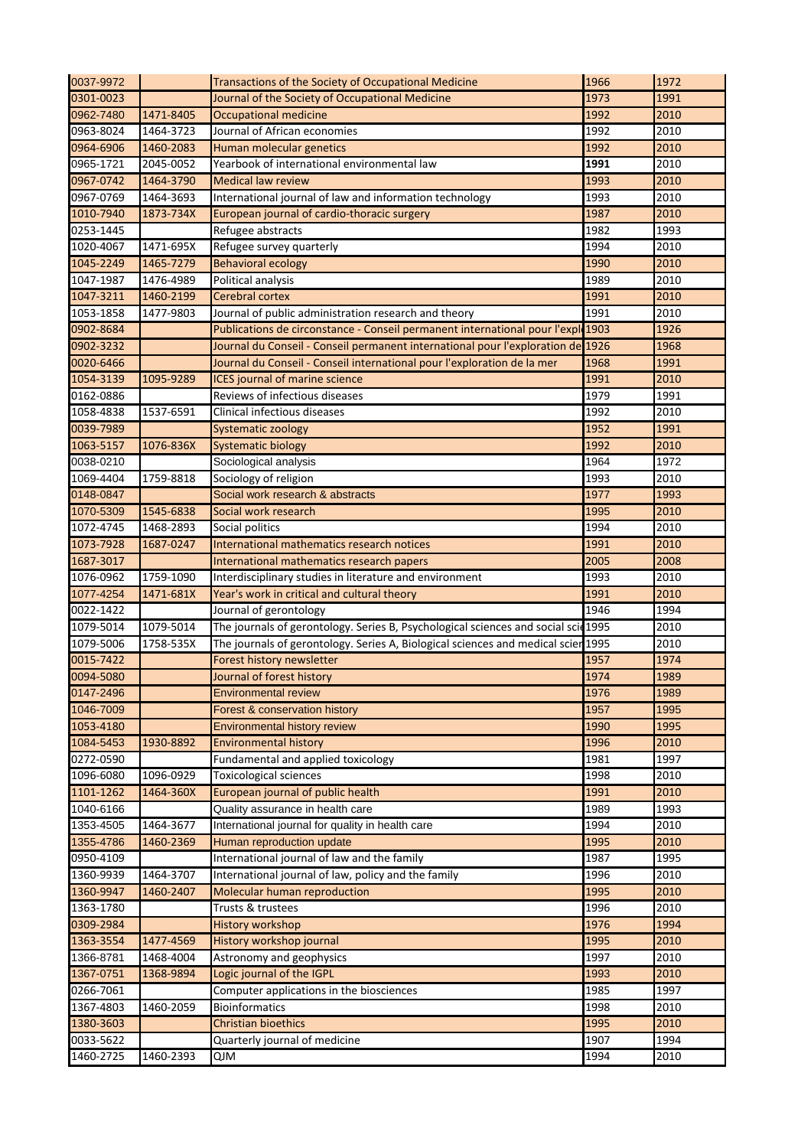| 0037-9972 |           | Transactions of the Society of Occupational Medicine                               | 1966 | 1972 |
|-----------|-----------|------------------------------------------------------------------------------------|------|------|
| 0301-0023 |           | Journal of the Society of Occupational Medicine                                    | 1973 | 1991 |
| 0962-7480 | 1471-8405 | <b>Occupational medicine</b>                                                       | 1992 | 2010 |
| 0963-8024 | 1464-3723 | Journal of African economies                                                       | 1992 | 2010 |
| 0964-6906 | 1460-2083 | Human molecular genetics                                                           | 1992 | 2010 |
| 0965-1721 | 2045-0052 | Yearbook of international environmental law                                        | 1991 | 2010 |
| 0967-0742 | 1464-3790 | <b>Medical law review</b>                                                          | 1993 | 2010 |
| 0967-0769 | 1464-3693 | International journal of law and information technology                            | 1993 | 2010 |
| 1010-7940 | 1873-734X | European journal of cardio-thoracic surgery                                        | 1987 | 2010 |
| 0253-1445 |           | Refugee abstracts                                                                  | 1982 | 1993 |
| 1020-4067 | 1471-695X | Refugee survey quarterly                                                           | 1994 | 2010 |
| 1045-2249 | 1465-7279 | <b>Behavioral ecology</b>                                                          | 1990 | 2010 |
| 1047-1987 | 1476-4989 | Political analysis                                                                 | 1989 | 2010 |
| 1047-3211 | 1460-2199 | Cerebral cortex                                                                    | 1991 | 2010 |
| 1053-1858 | 1477-9803 | Journal of public administration research and theory                               | 1991 | 2010 |
| 0902-8684 |           | Publications de circonstance - Conseil permanent international pour l'exple 1903   |      | 1926 |
| 0902-3232 |           | Journal du Conseil - Conseil permanent international pour l'exploration de 1926    |      | 1968 |
| 0020-6466 |           | Journal du Conseil - Conseil international pour l'exploration de la mer            | 1968 | 1991 |
|           |           |                                                                                    | 1991 | 2010 |
| 1054-3139 | 1095-9289 | <b>ICES</b> journal of marine science                                              | 1979 | 1991 |
| 0162-0886 |           | Reviews of infectious diseases                                                     |      | 2010 |
| 1058-4838 | 1537-6591 | Clinical infectious diseases                                                       | 1992 |      |
| 0039-7989 |           | Systematic zoology                                                                 | 1952 | 1991 |
| 1063-5157 | 1076-836X | <b>Systematic biology</b>                                                          | 1992 | 2010 |
| 0038-0210 |           | Sociological analysis                                                              | 1964 | 1972 |
| 1069-4404 | 1759-8818 | Sociology of religion                                                              | 1993 | 2010 |
| 0148-0847 |           | Social work research & abstracts                                                   | 1977 | 1993 |
| 1070-5309 | 1545-6838 | Social work research                                                               | 1995 | 2010 |
| 1072-4745 | 1468-2893 | Social politics                                                                    | 1994 | 2010 |
| 1073-7928 | 1687-0247 | International mathematics research notices                                         | 1991 | 2010 |
| 1687-3017 |           | International mathematics research papers                                          | 2005 | 2008 |
| 1076-0962 | 1759-1090 | Interdisciplinary studies in literature and environment                            | 1993 | 2010 |
| 1077-4254 | 1471-681X | Year's work in critical and cultural theory                                        | 1991 | 2010 |
| 0022-1422 |           | Journal of gerontology                                                             | 1946 | 1994 |
| 1079-5014 | 1079-5014 | The journals of gerontology. Series B, Psychological sciences and social scid 1995 |      | 2010 |
| 1079-5006 | 1758-535X | The journals of gerontology. Series A, Biological sciences and medical scier 1995  |      | 2010 |
| 0015-7422 |           | Forest history newsletter                                                          | 1957 | 1974 |
| 0094-5080 |           | Journal of forest history                                                          | 1974 | 1989 |
| 0147-2496 |           | <b>Environmental review</b>                                                        | 1976 | 1989 |
| 1046-7009 |           | <b>Forest &amp; conservation history</b>                                           | 1957 | 1995 |
| 1053-4180 |           | <b>Environmental history review</b>                                                | 1990 | 1995 |
| 1084-5453 | 1930-8892 | <b>Environmental history</b>                                                       | 1996 | 2010 |
| 0272-0590 |           | Fundamental and applied toxicology                                                 | 1981 | 1997 |
| 1096-6080 | 1096-0929 | <b>Toxicological sciences</b>                                                      | 1998 | 2010 |
| 1101-1262 | 1464-360X | European journal of public health                                                  | 1991 | 2010 |
| 1040-6166 |           | Quality assurance in health care                                                   | 1989 | 1993 |
| 1353-4505 | 1464-3677 | International journal for quality in health care                                   | 1994 | 2010 |
| 1355-4786 | 1460-2369 | Human reproduction update                                                          | 1995 | 2010 |
| 0950-4109 |           | International journal of law and the family                                        | 1987 | 1995 |
| 1360-9939 | 1464-3707 | International journal of law, policy and the family                                | 1996 | 2010 |
| 1360-9947 | 1460-2407 | <b>Molecular human reproduction</b>                                                | 1995 | 2010 |
| 1363-1780 |           | Trusts & trustees                                                                  | 1996 | 2010 |
| 0309-2984 |           | <b>History workshop</b>                                                            | 1976 | 1994 |
| 1363-3554 | 1477-4569 | History workshop journal                                                           | 1995 | 2010 |
| 1366-8781 | 1468-4004 | Astronomy and geophysics                                                           | 1997 | 2010 |
| 1367-0751 | 1368-9894 | Logic journal of the IGPL                                                          | 1993 | 2010 |
| 0266-7061 |           | Computer applications in the biosciences                                           | 1985 | 1997 |
| 1367-4803 | 1460-2059 | <b>Bioinformatics</b>                                                              | 1998 | 2010 |
| 1380-3603 |           | <b>Christian bioethics</b>                                                         | 1995 | 2010 |
| 0033-5622 |           | Quarterly journal of medicine                                                      | 1907 | 1994 |
| 1460-2725 | 1460-2393 | <b>NlQ</b>                                                                         | 1994 | 2010 |
|           |           |                                                                                    |      |      |